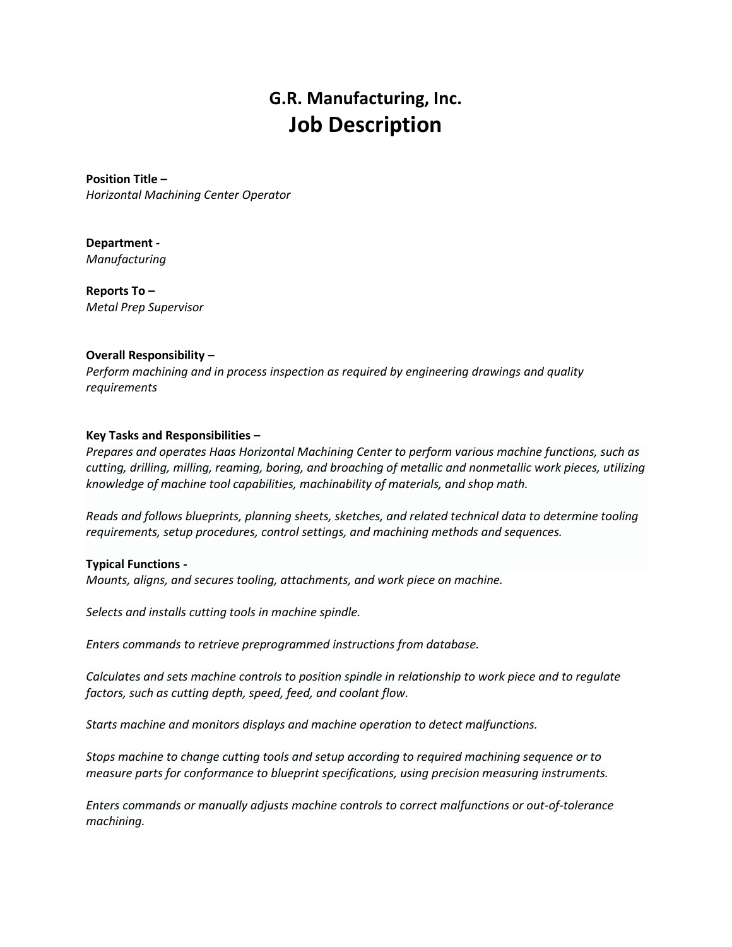# **G.R. Manufacturing, Inc. Job Description**

**Position Title –** *Horizontal Machining Center Operator*

**Department -** *Manufacturing*

**Reports To –** *Metal Prep Supervisor*

## **Overall Responsibility –**

*Perform machining and in process inspection as required by engineering drawings and quality requirements*

## **Key Tasks and Responsibilities –**

*Prepares and operates Haas Horizontal Machining Center to perform various machine functions, such as cutting, drilling, milling, reaming, boring, and broaching of metallic and nonmetallic work pieces, utilizing knowledge of machine tool capabilities, machinability of materials, and shop math.*

*Reads and follows blueprints, planning sheets, sketches, and related technical data to determine tooling requirements, setup procedures, control settings, and machining methods and sequences.*

## **Typical Functions -**

*Mounts, aligns, and secures tooling, attachments, and work piece on machine.*

*Selects and installs cutting tools in machine spindle.*

*Enters commands to retrieve preprogrammed instructions from database.*

*Calculates and sets machine controls to position spindle in relationship to work piece and to regulate factors, such as cutting depth, speed, feed, and coolant flow.*

*Starts machine and monitors displays and machine operation to detect malfunctions.*

*Stops machine to change cutting tools and setup according to required machining sequence or to measure parts for conformance to blueprint specifications, using precision measuring instruments.*

*Enters commands or manually adjusts machine controls to correct malfunctions or out-of-tolerance machining.*